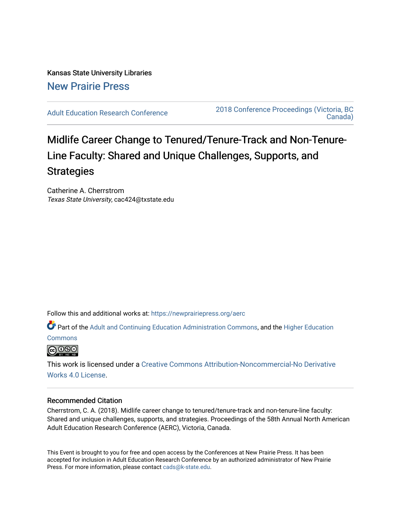Kansas State University Libraries [New Prairie Press](https://newprairiepress.org/) 

[Adult Education Research Conference](https://newprairiepress.org/aerc) [2018 Conference Proceedings \(Victoria, BC](https://newprairiepress.org/aerc/2018)  [Canada\)](https://newprairiepress.org/aerc/2018) 

# Midlife Career Change to Tenured/Tenure-Track and Non-Tenure-Line Faculty: Shared and Unique Challenges, Supports, and **Strategies**

Catherine A. Cherrstrom Texas State University, cac424@txstate.edu

Follow this and additional works at: [https://newprairiepress.org/aerc](https://newprairiepress.org/aerc?utm_source=newprairiepress.org%2Faerc%2F2018%2Fpapers%2F49&utm_medium=PDF&utm_campaign=PDFCoverPages)

Part of the [Adult and Continuing Education Administration Commons](http://network.bepress.com/hgg/discipline/789?utm_source=newprairiepress.org%2Faerc%2F2018%2Fpapers%2F49&utm_medium=PDF&utm_campaign=PDFCoverPages), and the [Higher Education](http://network.bepress.com/hgg/discipline/1245?utm_source=newprairiepress.org%2Faerc%2F2018%2Fpapers%2F49&utm_medium=PDF&utm_campaign=PDFCoverPages) 

**[Commons](http://network.bepress.com/hgg/discipline/1245?utm_source=newprairiepress.org%2Faerc%2F2018%2Fpapers%2F49&utm_medium=PDF&utm_campaign=PDFCoverPages)** 



This work is licensed under a [Creative Commons Attribution-Noncommercial-No Derivative](https://creativecommons.org/licenses/by-nc-nd/4.0/)  [Works 4.0 License](https://creativecommons.org/licenses/by-nc-nd/4.0/).

# Recommended Citation

Cherrstrom, C. A. (2018). Midlife career change to tenured/tenure-track and non-tenure-line faculty: Shared and unique challenges, supports, and strategies. Proceedings of the 58th Annual North American Adult Education Research Conference (AERC), Victoria, Canada.

This Event is brought to you for free and open access by the Conferences at New Prairie Press. It has been accepted for inclusion in Adult Education Research Conference by an authorized administrator of New Prairie Press. For more information, please contact [cads@k-state.edu.](mailto:cads@k-state.edu)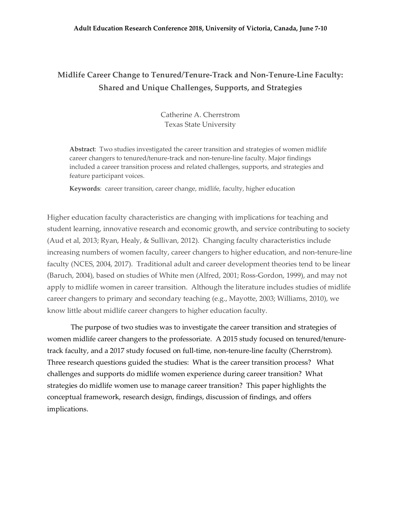#### **Adult Education Research Conference 2018, University of Victoria, Canada, June 7-10**

# **Midlife Career Change to Tenured/Tenure-Track and Non-Tenure-Line Faculty: Shared and Unique Challenges, Supports, and Strategies**

Catherine A. Cherrstrom Texas State University

**Abstract**: Two studies investigated the career transition and strategies of women midlife career changers to tenured/tenure-track and non-tenure-line faculty. Major findings included a career transition process and related challenges, supports, and strategies and feature participant voices.

**Keywords**: career transition, career change, midlife, faculty, higher education

Higher education faculty characteristics are changing with implications for teaching and student learning, innovative research and economic growth, and service contributing to society (Aud et al, 2013; Ryan, Healy, & Sullivan, 2012). Changing faculty characteristics include increasing numbers of women faculty, career changers to higher education, and non-tenure-line faculty (NCES, 2004, 2017). Traditional adult and career development theories tend to be linear (Baruch, 2004), based on studies of White men (Alfred, 2001; Ross-Gordon, 1999), and may not apply to midlife women in career transition. Although the literature includes studies of midlife career changers to primary and secondary teaching (e.g., Mayotte, 2003; Williams, 2010), we know little about midlife career changers to higher education faculty.

The purpose of two studies was to investigate the career transition and strategies of women midlife career changers to the professoriate. A 2015 study focused on tenured/tenuretrack faculty, and a 2017 study focused on full-time, non-tenure-line faculty (Cherrstrom). Three research questions guided the studies: What is the career transition process? What challenges and supports do midlife women experience during career transition? What strategies do midlife women use to manage career transition? This paper highlights the conceptual framework, research design, findings, discussion of findings, and offers implications.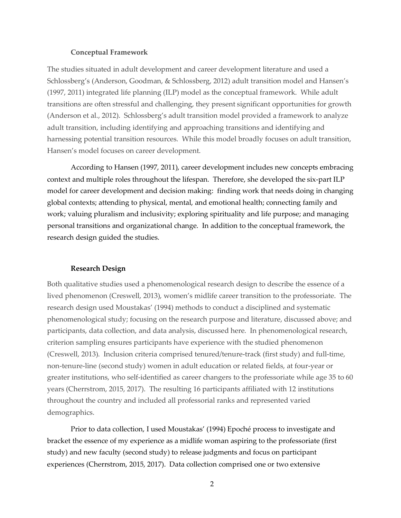#### **Conceptual Framework**

The studies situated in adult development and career development literature and used a Schlossberg's (Anderson, Goodman, & Schlossberg, 2012) adult transition model and Hansen's (1997, 2011) integrated life planning (ILP) model as the conceptual framework. While adult transitions are often stressful and challenging, they present significant opportunities for growth (Anderson et al., 2012). Schlossberg's adult transition model provided a framework to analyze adult transition, including identifying and approaching transitions and identifying and harnessing potential transition resources. While this model broadly focuses on adult transition, Hansen's model focuses on career development.

According to Hansen (1997, 2011), career development includes new concepts embracing context and multiple roles throughout the lifespan. Therefore, she developed the six-part ILP model for career development and decision making: finding work that needs doing in changing global contexts; attending to physical, mental, and emotional health; connecting family and work; valuing pluralism and inclusivity; exploring spirituality and life purpose; and managing personal transitions and organizational change. In addition to the conceptual framework, the research design guided the studies.

#### **Research Design**

Both qualitative studies used a phenomenological research design to describe the essence of a lived phenomenon (Creswell, 2013), women's midlife career transition to the professoriate. The research design used Moustakas' (1994) methods to conduct a disciplined and systematic phenomenological study; focusing on the research purpose and literature, discussed above; and participants, data collection, and data analysis, discussed here. In phenomenological research, criterion sampling ensures participants have experience with the studied phenomenon (Creswell, 2013). Inclusion criteria comprised tenured/tenure-track (first study) and full-time, non-tenure-line (second study) women in adult education or related fields, at four-year or greater institutions, who self-identified as career changers to the professoriate while age 35 to 60 years (Cherrstrom, 2015, 2017). The resulting 16 participants affiliated with 12 institutions throughout the country and included all professorial ranks and represented varied demographics.

Prior to data collection, I used Moustakas' (1994) Epoché process to investigate and bracket the essence of my experience as a midlife woman aspiring to the professoriate (first study) and new faculty (second study) to release judgments and focus on participant experiences (Cherrstrom, 2015, 2017). Data collection comprised one or two extensive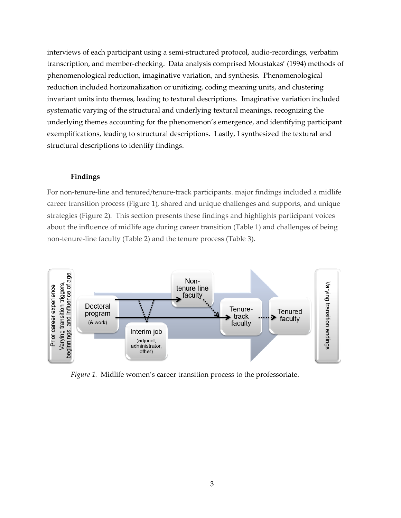interviews of each participant using a semi-structured protocol, audio-recordings, verbatim transcription, and member-checking. Data analysis comprised Moustakas' (1994) methods of phenomenological reduction, imaginative variation, and synthesis. Phenomenological reduction included horizonalization or unitizing, coding meaning units, and clustering invariant units into themes, leading to textural descriptions. Imaginative variation included systematic varying of the structural and underlying textural meanings, recognizing the underlying themes accounting for the phenomenon's emergence, and identifying participant exemplifications, leading to structural descriptions. Lastly, I synthesized the textural and structural descriptions to identify findings.

# **Findings**

For non-tenure-line and tenured/tenure-track participants. major findings included a midlife career transition process (Figure 1), shared and unique challenges and supports, and unique strategies (Figure 2). This section presents these findings and highlights participant voices about the influence of midlife age during career transition (Table 1) and challenges of being non-tenure-line faculty (Table 2) and the tenure process (Table 3).



*Figure 1.* Midlife women's career transition process to the professoriate.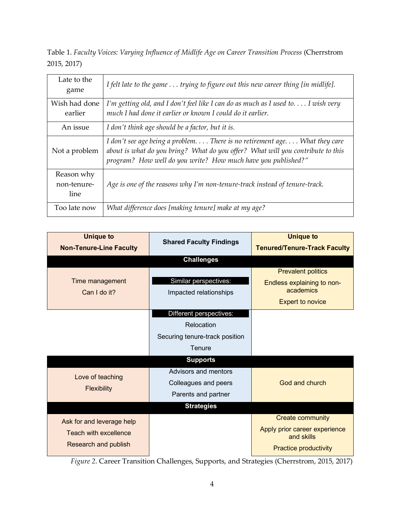Table 1. *Faculty Voices: Varying Influence of Midlife Age on Career Transition Process* (Cherrstrom 2015, 2017)

| Late to the<br>game               | I felt late to the game trying to figure out this new career thing [in midlife].                                                                                                                                              |
|-----------------------------------|-------------------------------------------------------------------------------------------------------------------------------------------------------------------------------------------------------------------------------|
| Wish had done<br>earlier          | I'm getting old, and I don't feel like I can do as much as I used to I wish very<br>much I had done it earlier or known I could do it earlier.                                                                                |
| An issue                          | I don't think age should be a factor, but it is.                                                                                                                                                                              |
| Not a problem                     | I don't see age being a problem There is no retirement age What they care<br>about is what do you bring? What do you offer? What will you contribute to this<br>program? How well do you write? How much have you published?" |
| Reason why<br>non-tenure-<br>line | Age is one of the reasons why I'm non-tenure-track instead of tenure-track.                                                                                                                                                   |
| Too late now                      | What difference does [making tenure] make at my age?                                                                                                                                                                          |

| <b>Unique to</b>                                                                  | <b>Shared Faculty Findings</b>                                                    | <b>Unique to</b>                                                                                       |
|-----------------------------------------------------------------------------------|-----------------------------------------------------------------------------------|--------------------------------------------------------------------------------------------------------|
| <b>Non-Tenure-Line Faculty</b>                                                    |                                                                                   | <b>Tenured/Tenure-Track Faculty</b>                                                                    |
|                                                                                   | <b>Challenges</b>                                                                 |                                                                                                        |
| Time management<br>Can I do it?                                                   | Similar perspectives:<br>Impacted relationships                                   | <b>Prevalent politics</b><br>Endless explaining to non-<br>academics<br><b>Expert to novice</b>        |
|                                                                                   | Different perspectives:<br>Relocation<br>Securing tenure-track position<br>Tenure |                                                                                                        |
|                                                                                   | <b>Supports</b>                                                                   |                                                                                                        |
| Love of teaching<br><b>Flexibility</b>                                            | Advisors and mentors<br>Colleagues and peers<br>Parents and partner               | God and church                                                                                         |
|                                                                                   | <b>Strategies</b>                                                                 |                                                                                                        |
| Ask for and leverage help<br><b>Teach with excellence</b><br>Research and publish |                                                                                   | <b>Create community</b><br>Apply prior career experience<br>and skills<br><b>Practice productivity</b> |

*Figure 2*. Career Transition Challenges, Supports, and Strategies (Cherrstrom, 2015, 2017)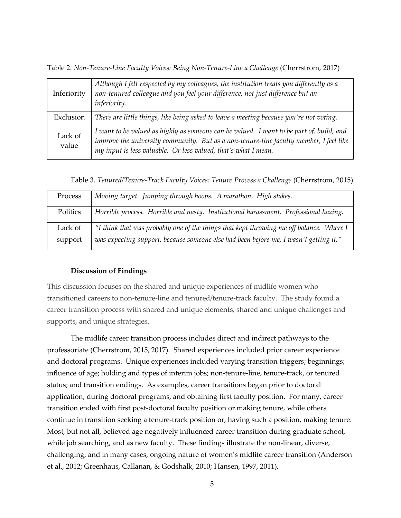Table 2. *Non-Tenure-Line Faculty Voices: Being Non-Tenure-Line a Challenge* (Cherrstrom, 2017)

| Inferiority      | Although I felt respected by my colleagues, the institution treats you differently as a<br>non-tenured colleague and you feel your difference, not just difference but an<br><i>inferiority.</i>                                                     |
|------------------|------------------------------------------------------------------------------------------------------------------------------------------------------------------------------------------------------------------------------------------------------|
| Exclusion        | There are little things, like being asked to leave a meeting because you're not voting.                                                                                                                                                              |
| Lack of<br>value | I want to be valued as highly as someone can be valued. I want to be part of, build, and<br>improve the university community. But as a non-tenure-line faculty member, I feel like<br>my input is less valuable. Or less valued, that's what I mean. |

Table 3. *Tenured/Tenure-Track Faculty Voices: Tenure Process a Challenge* (Cherrstrom, 2015)

| Process  | Moving target. Jumping through hoops. A marathon. High stakes.                          |
|----------|-----------------------------------------------------------------------------------------|
| Politics | Horrible process. Horrible and nasty. Institutional harassment. Professional hazing.    |
| Lack of  | "I think that was probably one of the things that kept throwing me off balance. Where I |
| support  | was expecting support, because someone else had been before me, I wasn't getting it."   |

## **Discussion of Findings**

This discussion focuses on the shared and unique experiences of midlife women who transitioned careers to non-tenure-line and tenured/tenure-track faculty. The study found a career transition process with shared and unique elements, shared and unique challenges and supports, and unique strategies.

The midlife career transition process includes direct and indirect pathways to the professoriate (Cherrstrom, 2015, 2017). Shared experiences included prior career experience and doctoral programs. Unique experiences included varying transition triggers; beginnings; influence of age; holding and types of interim jobs; non-tenure-line, tenure-track, or tenured status; and transition endings. As examples, career transitions began prior to doctoral application, during doctoral programs, and obtaining first faculty position. For many, career transition ended with first post-doctoral faculty position or making tenure, while others continue in transition seeking a tenure-track position or, having such a position, making tenure. Most, but not all, believed age negatively influenced career transition during graduate school, while job searching, and as new faculty. These findings illustrate the non-linear, diverse, challenging, and in many cases, ongoing nature of women's midlife career transition (Anderson et al., 2012; Greenhaus, Callanan, & Godshalk, 2010; Hansen, 1997, 2011).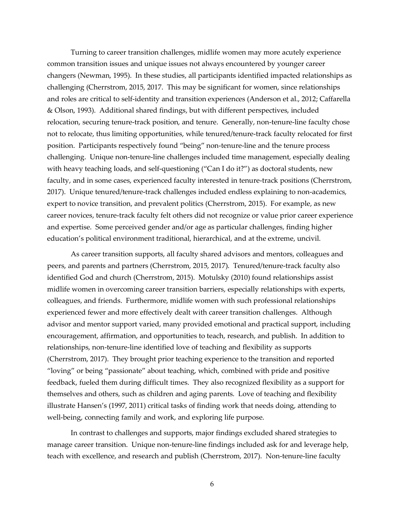Turning to career transition challenges, midlife women may more acutely experience common transition issues and unique issues not always encountered by younger career changers (Newman, 1995). In these studies, all participants identified impacted relationships as challenging (Cherrstrom, 2015, 2017. This may be significant for women, since relationships and roles are critical to self-identity and transition experiences (Anderson et al., 2012; Caffarella & Olson, 1993). Additional shared findings, but with different perspectives, included relocation, securing tenure-track position, and tenure. Generally, non-tenure-line faculty chose not to relocate, thus limiting opportunities, while tenured/tenure-track faculty relocated for first position. Participants respectively found "being" non-tenure-line and the tenure process challenging. Unique non-tenure-line challenges included time management, especially dealing with heavy teaching loads, and self-questioning ("Can I do it?") as doctoral students, new faculty, and in some cases, experienced faculty interested in tenure-track positions (Cherrstrom, 2017). Unique tenured/tenure-track challenges included endless explaining to non-academics, expert to novice transition, and prevalent politics (Cherrstrom, 2015). For example, as new career novices, tenure-track faculty felt others did not recognize or value prior career experience and expertise. Some perceived gender and/or age as particular challenges, finding higher education's political environment traditional, hierarchical, and at the extreme, uncivil.

As career transition supports, all faculty shared advisors and mentors, colleagues and peers, and parents and partners (Cherrstrom, 2015, 2017). Tenured/tenure-track faculty also identified God and church (Cherrstrom, 2015). Motulsky (2010) found relationships assist midlife women in overcoming career transition barriers, especially relationships with experts, colleagues, and friends. Furthermore, midlife women with such professional relationships experienced fewer and more effectively dealt with career transition challenges. Although advisor and mentor support varied, many provided emotional and practical support, including encouragement, affirmation, and opportunities to teach, research, and publish. In addition to relationships, non-tenure-line identified love of teaching and flexibility as supports (Cherrstrom, 2017). They brought prior teaching experience to the transition and reported "loving" or being "passionate" about teaching, which, combined with pride and positive feedback, fueled them during difficult times. They also recognized flexibility as a support for themselves and others, such as children and aging parents. Love of teaching and flexibility illustrate Hansen's (1997, 2011) critical tasks of finding work that needs doing, attending to well-being, connecting family and work, and exploring life purpose.

In contrast to challenges and supports, major findings excluded shared strategies to manage career transition. Unique non-tenure-line findings included ask for and leverage help, teach with excellence, and research and publish (Cherrstrom, 2017). Non-tenure-line faculty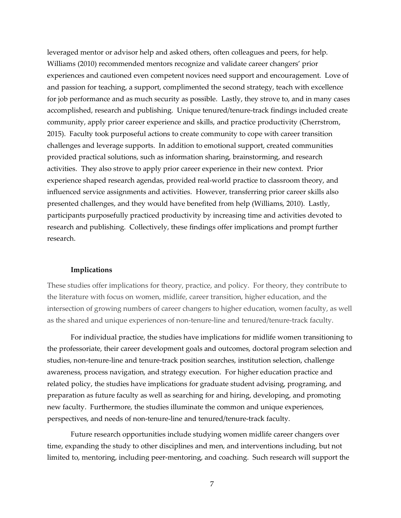leveraged mentor or advisor help and asked others, often colleagues and peers, for help. Williams (2010) recommended mentors recognize and validate career changers' prior experiences and cautioned even competent novices need support and encouragement. Love of and passion for teaching, a support, complimented the second strategy, teach with excellence for job performance and as much security as possible. Lastly, they strove to, and in many cases accomplished, research and publishing. Unique tenured/tenure-track findings included create community, apply prior career experience and skills, and practice productivity (Cherrstrom, 2015). Faculty took purposeful actions to create community to cope with career transition challenges and leverage supports. In addition to emotional support, created communities provided practical solutions, such as information sharing, brainstorming, and research activities. They also strove to apply prior career experience in their new context. Prior experience shaped research agendas, provided real-world practice to classroom theory, and influenced service assignments and activities. However, transferring prior career skills also presented challenges, and they would have benefited from help (Williams, 2010). Lastly, participants purposefully practiced productivity by increasing time and activities devoted to research and publishing. Collectively, these findings offer implications and prompt further research.

#### **Implications**

These studies offer implications for theory, practice, and policy. For theory, they contribute to the literature with focus on women, midlife, career transition, higher education, and the intersection of growing numbers of career changers to higher education, women faculty, as well as the shared and unique experiences of non-tenure-line and tenured/tenure-track faculty.

For individual practice, the studies have implications for midlife women transitioning to the professoriate, their career development goals and outcomes, doctoral program selection and studies, non-tenure-line and tenure-track position searches, institution selection, challenge awareness, process navigation, and strategy execution. For higher education practice and related policy, the studies have implications for graduate student advising, programing, and preparation as future faculty as well as searching for and hiring, developing, and promoting new faculty. Furthermore, the studies illuminate the common and unique experiences, perspectives, and needs of non-tenure-line and tenured/tenure-track faculty.

Future research opportunities include studying women midlife career changers over time, expanding the study to other disciplines and men, and interventions including, but not limited to, mentoring, including peer-mentoring, and coaching. Such research will support the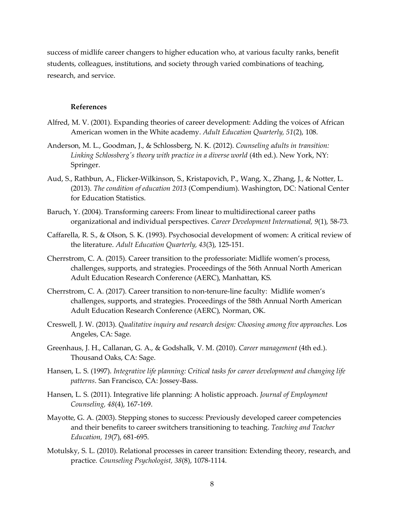success of midlife career changers to higher education who, at various faculty ranks, benefit students, colleagues, institutions, and society through varied combinations of teaching, research, and service.

#### **References**

- Alfred, M. V. (2001). Expanding theories of career development: Adding the voices of African American women in the White academy. *Adult Education Quarterly, 51*(2), 108.
- Anderson, M. L., Goodman, J., & Schlossberg, N. K. (2012). *Counseling adults in transition: Linking Schlossberg's theory with practice in a diverse world* (4th ed.). New York, NY: Springer.
- Aud, S., Rathbun, A., Flicker-Wilkinson, S., Kristapovich, P., Wang, X., Zhang, J., & Notter, L. (2013). *The condition of education 2013* (Compendium). Washington, DC: National Center for Education Statistics.
- Baruch, Y. (2004). Transforming careers: From linear to multidirectional career paths organizational and individual perspectives. *Career Development International, 9*(1), 58-73.
- Caffarella, R. S., & Olson, S. K. (1993). Psychosocial development of women: A critical review of the literature. *Adult Education Quarterly, 43*(3), 125-151.
- Cherrstrom, C. A. (2015). Career transition to the professoriate: Midlife women's process, challenges, supports, and strategies. Proceedings of the 56th Annual North American Adult Education Research Conference (AERC), Manhattan, KS.
- Cherrstrom, C. A. (2017). Career transition to non-tenure-line faculty: Midlife women's challenges, supports, and strategies. Proceedings of the 58th Annual North American Adult Education Research Conference (AERC), Norman, OK.
- Creswell, J. W. (2013). *Qualitative inquiry and research design: Choosing among five approaches*. Los Angeles, CA: Sage.
- Greenhaus, J. H., Callanan, G. A., & Godshalk, V. M. (2010). *Career management* (4th ed.). Thousand Oaks, CA: Sage.
- Hansen, L. S. (1997). *Integrative life planning: Critical tasks for career development and changing life patterns*. San Francisco, CA: Jossey-Bass.
- Hansen, L. S. (2011). Integrative life planning: A holistic approach. *Journal of Employment Counseling, 48*(4), 167-169.
- Mayotte, G. A. (2003). Stepping stones to success: Previously developed career competencies and their benefits to career switchers transitioning to teaching. *Teaching and Teacher Education, 19*(7), 681-695.
- Motulsky, S. L. (2010). Relational processes in career transition: Extending theory, research, and practice*. Counseling Psychologist, 38*(8), 1078-1114.